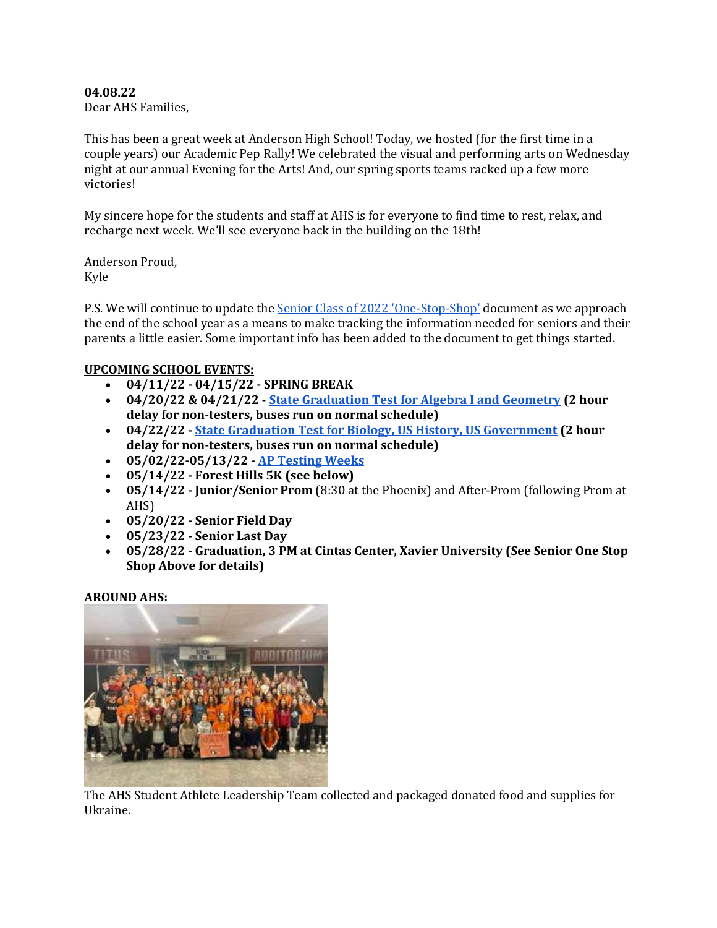# **04.08.22**

Dear AHS Families,

This has been a great week at Anderson High School! Today, we hosted (for the first time in a couple years) our Academic Pep Rally! We celebrated the visual and performing arts on Wednesday night at our annual Evening for the Arts! And, our spring sports teams racked up a few more victories!

My sincere hope for the students and staff at AHS is for everyone to find time to rest, relax, and recharge next week. We'll see everyone back in the building on the 18th!

Anderson Proud, Kyle

P.S. We will continue to update the [Senior Class of 2022 'One-Stop-Shop'](https://docs.google.com/document/d/1PdusvjML8au7b87rdS-1U_DhmV3RRY0OiMN6f00iWmM/edit?usp=sharing) document as we approach the end of the school year as a means to make tracking the information needed for seniors and their parents a little easier. Some important info has been added to the document to get things started.

# **UPCOMING SCHOOL EVENTS:**

- **04/11/22 - 04/15/22 - SPRING BREAK**
- **04/20/22 & 04/21/22 - [State Graduation Test for Algebra I and Geometry](https://docs.google.com/document/d/1m8i_Kcc1UFa0mavFJzAGCEWvsURBwVvLqzpdalS5fYg/edit) (2 hour delay for non-testers, buses run on normal schedule)**
- **04/22/22 - [State Graduation Test for Biology, US History, US Government](https://docs.google.com/document/d/1m8i_Kcc1UFa0mavFJzAGCEWvsURBwVvLqzpdalS5fYg/edit) (2 hour delay for non-testers, buses run on normal schedule)**
- **05/02/22-05/13/22 - [AP Testing Weeks](https://apcentral.collegeboard.org/exam-administration-ordering-scores/exam-dates)**
- **05/14/22 - Forest Hills 5K (see below)**
- **05/14/22 - Junior/Senior Prom** (8:30 at the Phoenix) and After-Prom (following Prom at AHS)
- **05/20/22 - Senior Field Day**
- **05/23/22 - Senior Last Day**
- **05/28/22 - Graduation, 3 PM at Cintas Center, Xavier University (See Senior One Stop Shop Above for details)**

#### **AROUND AHS:**



The AHS Student Athlete Leadership Team collected and packaged donated food and supplies for Ukraine.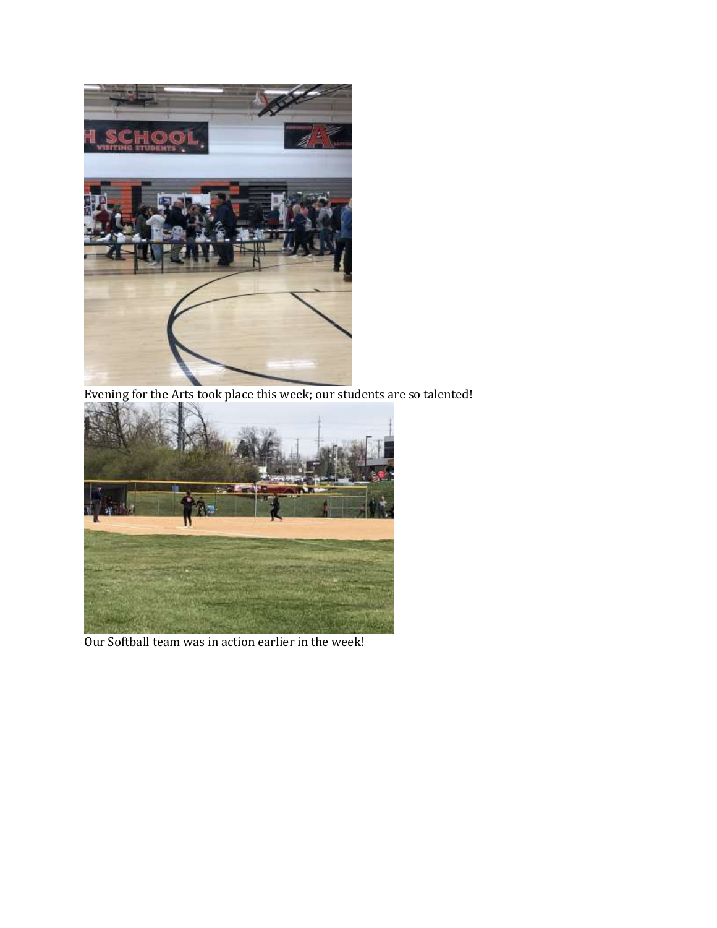

Evening for the Arts took place this week; our students are so talented!



Our Softball team was in action earlier in the week!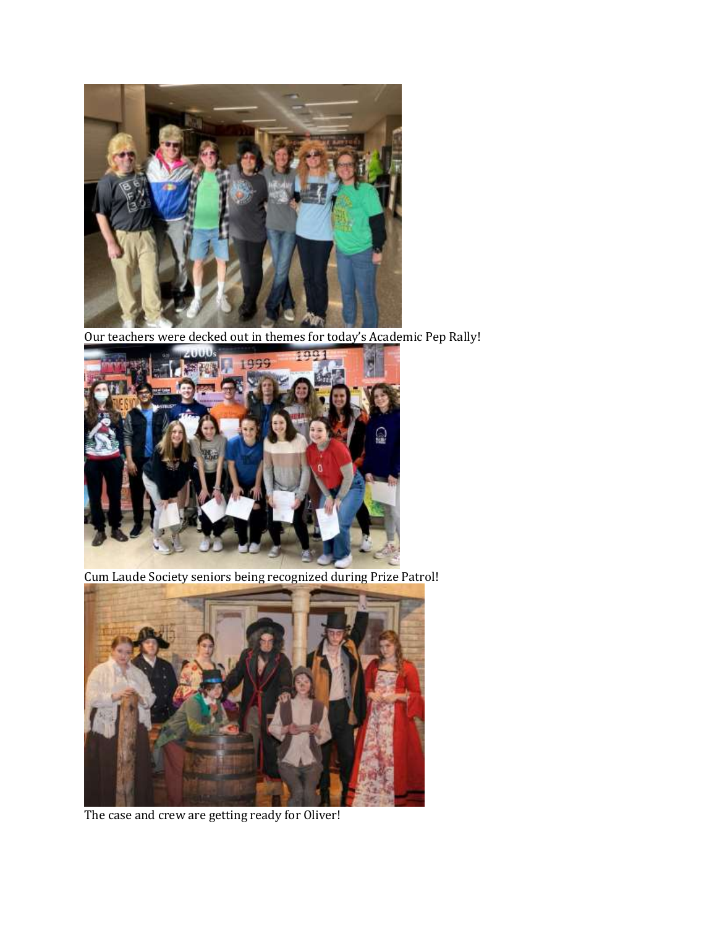

Our teachers were decked out in themes for today's Academic Pep Rally!



Cum Laude Society seniors being recognized during Prize Patrol!



The case and crew are getting ready for Oliver!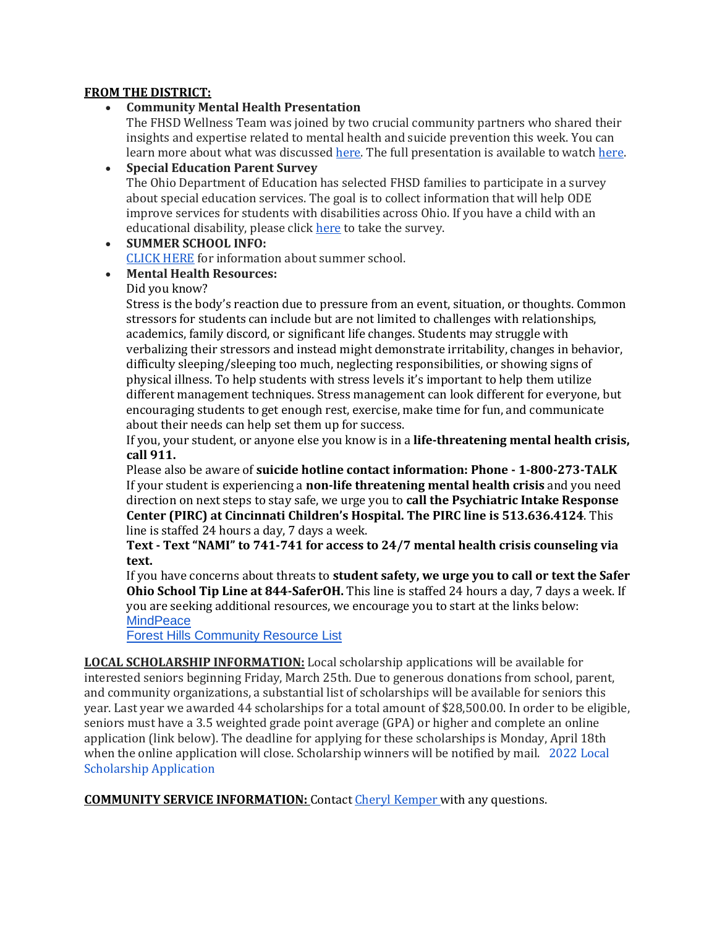### **FROM THE DISTRICT:**

# **Community Mental Health Presentation**

The FHSD Wellness Team was joined by two crucial community partners who shared their insights and expertise related to mental health and suicide prevention this week. You can learn more about what was discussed [here.](https://bit.ly/37yUOzI) The full presentation is available to watc[h here.](https://youtu.be/ozTCET7Sqm8)

#### **Special Education Parent Survey** The Ohio Department of Education has selected FHSD families to participate in a survey about special education services. The goal is to collect information that will help ODE improve services for students with disabilities across Ohio. If you have a child with an educational disability, please click [here](https://osu.az1.qualtrics.com/jfe/form/SV_9ZzckqS1CqFPO2G) to take the survey.

 **SUMMER SCHOOL INFO:** [CLICK HERE](https://drive.google.com/file/d/1rlJpY4WNOisxm3NN04a5_8FwctGdXslH/view?usp=sharing) for information about summer school.

# **Mental Health Resources:**

# Did you know?

Stress is the body's reaction due to pressure from an event, situation, or thoughts. Common stressors for students can include but are not limited to challenges with relationships, academics, family discord, or significant life changes. Students may struggle with verbalizing their stressors and instead might demonstrate irritability, changes in behavior, difficulty sleeping/sleeping too much, neglecting responsibilities, or showing signs of physical illness. To help students with stress levels it's important to help them utilize different management techniques. Stress management can look different for everyone, but encouraging students to get enough rest, exercise, make time for fun, and communicate about their needs can help set them up for success.

If you, your student, or anyone else you know is in a **life-threatening mental health crisis, call 911.**

Please also be aware of **suicide hotline contact information: Phone - 1-800-273-TALK** If your student is experiencing a **non-life threatening mental health crisis** and you need direction on next steps to stay safe, we urge you to **call the Psychiatric Intake Response Center (PIRC) at Cincinnati Children's Hospital. The PIRC line is 513.636.4124**. This line is staffed 24 hours a day, 7 days a week.

**Text - Text "NAMI" to 741-741 for access to 24/7 mental health crisis counseling via text.**

If you have concerns about threats to **student safety, we urge you to call or text the Safer Ohio School Tip Line at 844-SaferOH.** This line is staffed 24 hours a day, 7 days a week. If you are seeking additional resources, we encourage you to start at the links below: **[MindPeace](http://track.spe.schoolmessenger.com/f/a/eTxYutNVbD1__k8jHVqKyA~~/AAAAAQA~/RgRjwxJ2P0THaHR0cDovL3RyYWNrLnNwZS5zY2hvb2xtZXNzZW5nZXIuY29tL2YvYS92b2JfS1hLOHYwbV9ZYzBIQmFRMm9nfn4vQUFBQUFRQX4vUmdSanVlVEtQMFFmYUhSMGNEb3ZMMjFwYm1Sd1pXRmpaV05wYm1OcGJtNWhkR2t1WTI5dEwxY0hjMk5vYjI5c2JVSUtZZFZLc2RoaDE3c283VklZWW5KcFlXNXNaV1ZBWm05eVpYTjBhR2xzYkhNdVpXUjFXQVFBQUFBQlcHc2Nob29sbUIKYd_23uFhMIr7l1Idam9kaWVtY2tpbmxleUBmb3Jlc3RoaWxscy5lZHVYBAAAAAE~)** 

[Forest Hills Community Resource List](http://track.spe.schoolmessenger.com/f/a/pny9BSvHwC513vOoDGfW5g~~/AAAAAQA~/RgRjwxJ2P4QHAWh0dHA6Ly90cmFjay5zcGUuc2Nob29sbWVzc2VuZ2VyLmNvbS9mL2EvdXdnUmxmTzFTVkFZRTFUOWdFTmxwZ35-L0FBQUFBUUF-L1JnUmp1ZVRLUDBSUGFIUjBjSE02THk5a2IyTnpMbWR2YjJkc1pTNWpiMjB2Wkc5amRXMWxiblF2WkM4eE1FcGtNM1pTT1VZeFdrbFZTMFZFU0hsNlZsZHVMVkpYYW5Sc1JVODJSbTFrV0hGTFMyUTBZVmhHTUZjSGMyTm9iMjlzYlVJS1lkVktzZGhoMTdzbzdWSVlZbkpwWVc1c1pXVkFabTl5WlhOMGFHbHNiSE11WldSMVdBUUFBQUFCVwdzY2hvb2xtQgph3_be4WEwivuXUh1qb2RpZW1ja2lubGV5QGZvcmVzdGhpbGxzLmVkdVgEAAAAAQ~~)

**LOCAL SCHOLARSHIP INFORMATION:** Local scholarship applications will be available for interested seniors beginning Friday, March 25th. Due to generous donations from school, parent, and community organizations, a substantial list of scholarships will be available for seniors this year. Last year we awarded 44 scholarships for a total amount of \$28,500.00. In order to be eligible, seniors must have a 3.5 weighted grade point average (GPA) or higher and complete an online application (link below). The deadline for applying for these scholarships is Monday, April 18th when the online application will close. Scholarship winners will be notified by mail. [2022 Local](https://docs.google.com/forms/d/e/1FAIpQLSf_bRX4Cn9QmknARVwX-6de7J4xnAkSoHoT8NzbKqHM4C2XRg/viewform?usp=sf_link)  [Scholarship Application](https://docs.google.com/forms/d/e/1FAIpQLSf_bRX4Cn9QmknARVwX-6de7J4xnAkSoHoT8NzbKqHM4C2XRg/viewform?usp=sf_link)

**COMMUNITY SERVICE INFORMATION:** Contac[t Cheryl Kemper w](mailto:cherylkemper@foresthills.edu)ith any questions.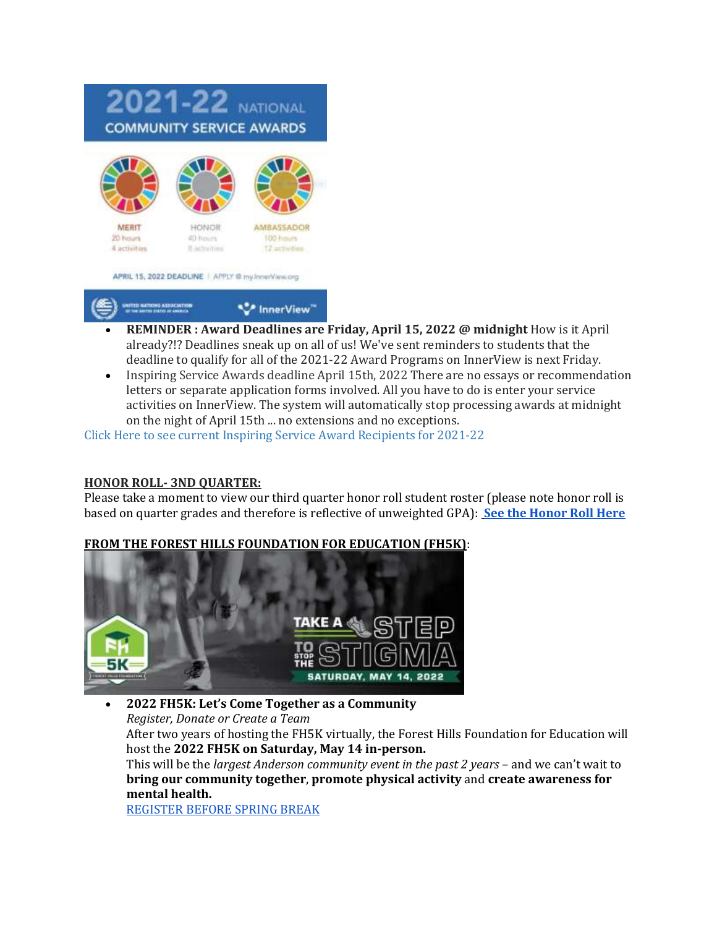

- **REMINDER : Award Deadlines are Friday, April 15, 2022 @ midnight** How is it April already?!? Deadlines sneak up on all of us! We've sent reminders to students that the deadline to qualify for all of the 2021-22 Award Programs on InnerView is next Friday.
- Inspiring Service Awards deadline April 15th, 2022 There are no essays or recommendation letters or separate application forms involved. All you have to do is enter your service activities on InnerView. The system will automatically stop processing awards at midnight on the night of April 15th ... no extensions and no exceptions.

[Click Here to see current Inspiring Service Award Recipients for 2021-22](https://innerview.org/award/members?schoolyear=2021&school_id=628)

# **HONOR ROLL- 3ND QUARTER:**

Please take a moment to view our third quarter honor roll student roster (please note honor roll is based on quarter grades and therefore is reflective of unweighted GPA): **[See the Honor Roll Here](https://docs.google.com/document/d/1bV-Jx1VOBoNILZEi4qE6a_649N0844CLwMvDszMePSk/edit?usp=sharing)**

# **FROM THE FOREST HILLS FOUNDATION FOR EDUCATION (FH5K)**:



 **2022 FH5K: Let's Come Together as a Community** *Register, Donate or Create a Team* After two years of hosting the FH5K virtually, the Forest Hills Foundation for Education will host the **2022 FH5K on Saturday, May 14 in-person.** This will be the *largest Anderson community event in the past 2 years* – and we can't wait to **bring our community together**, **promote physical activity** and **create awareness for mental health.** [REGISTER BEFORE SPRING BREAK](https://secure.qgiv.com/event/fh5k2022/)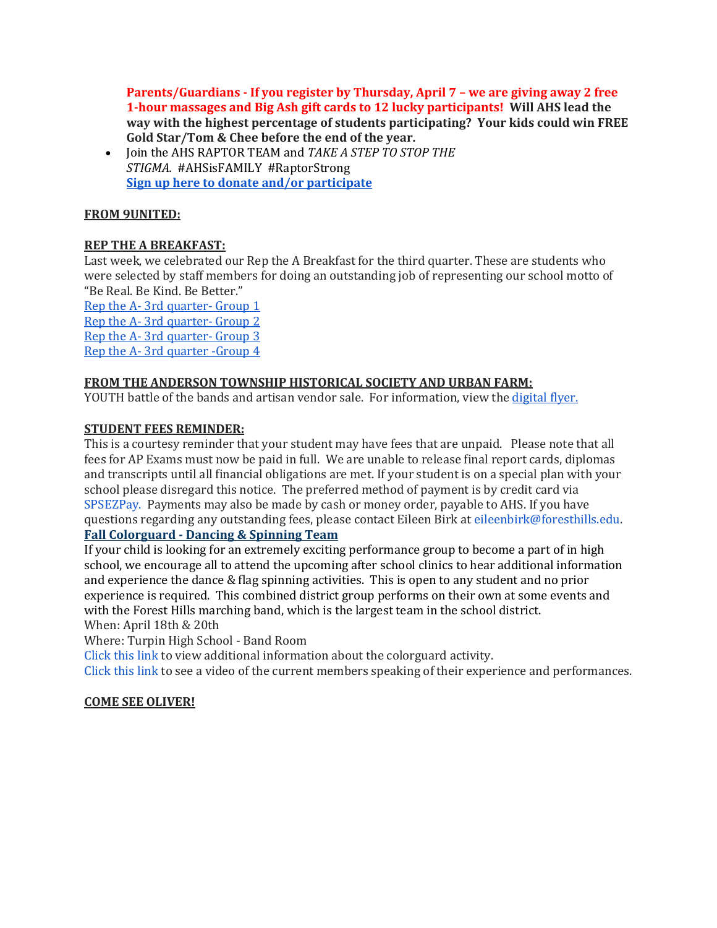**Parents/Guardians - If you register by Thursday, April 7 – we are giving away 2 free 1-hour massages and Big Ash gift cards to 12 lucky participants! Will AHS lead the way with the highest percentage of students participating? Your kids could win FREE Gold Star/Tom & Chee before the end of the year.**

 Join the AHS RAPTOR TEAM and *TAKE A STEP TO STOP THE STIGMA.* #AHSisFAMILY #RaptorStrong **[Sign up here to donate and/or participate](https://secure.qgiv.com/event/fh5k2022/team/892465)**

# **FROM 9UNITED:**

# **REP THE A BREAKFAST:**

Last week, we celebrated our Rep the A Breakfast for the third quarter. These are students who were selected by staff members for doing an outstanding job of representing our school motto of "Be Real. Be Kind. Be Better."

Rep the A- [3rd quarter-](https://animoto.com/play/iaeGh1l6QLuGMANIGdSH0g) Group 1 Rep the A- [3rd quarter-](https://animoto.com/play/Tb8j81Ci1E50H0QYfbEfUw) Group 2 Rep the A- [3rd quarter-](https://animoto.com/play/6Y2tYH0v0egbE1au0haSpw) Group 3 Rep the A- [3rd quarter -Group 4](https://animoto.com/play/F6joy0WWcc6jXHTfT0MvGQ)

# **FROM THE ANDERSON TOWNSHIP HISTORICAL SOCIETY AND URBAN FARM:**

YOUTH battle of the bands and artisan vendor sale. For information, view th[e digital flyer.](https://drive.google.com/file/d/1juZcSuq_-gicByzGXJU6_MN67oCbtc7S/view?usp=sharing)

### **STUDENT FEES REMINDER:**

This is a courtesy reminder that your student may have fees that are unpaid. Please note that all fees for AP Exams must now be paid in full. We are unable to release final report cards, diplomas and transcripts until all financial obligations are met. If your student is on a special plan with your school please disregard this notice. The preferred method of payment is by credit card vi[a](http://track.spe.schoolmessenger.com/f/a/ov7WYkBytzdGifLa-XAiEg~~/AAAAAQA~/RgRkKFXSP0QwaHR0cHM6Ly93d3cuc3BzZXpwYXkuY29tL2V6cHYzL2dlbmVyaWNsb2dpbi5hc3B4VwdzY2hvb2xtQgpiRVIiR2KmO434UhplaWxlZW5iaXJrQGZvcmVzdGhpbGxzLmVkdVgEAAAAAQ~~) [SPSEZPay.](http://track.spe.schoolmessenger.com/f/a/ov7WYkBytzdGifLa-XAiEg~~/AAAAAQA~/RgRkKFXSP0QwaHR0cHM6Ly93d3cuc3BzZXpwYXkuY29tL2V6cHYzL2dlbmVyaWNsb2dpbi5hc3B4VwdzY2hvb2xtQgpiRVIiR2KmO434UhplaWxlZW5iaXJrQGZvcmVzdGhpbGxzLmVkdVgEAAAAAQ~~) Payments may also be made by cash or money order, payable to AHS. If you have questions regarding any outstanding fees, please contact Eileen Birk at eileenbirk@foresthills.edu. **Fall Colorguard - Dancing & Spinning Team**

If your child is looking for an extremely exciting performance group to become a part of in high school, we encourage all to attend the upcoming after school clinics to hear additional information and experience the dance & flag spinning activities. This is open to any student and no prior experience is required. This combined district group performs on their own at some events and with the Forest Hills marching band, which is the largest team in the school district.

When: April 18th & 20th

Where: Turpin High School - Band Room

[Click this link](http://www.fhbands.org/color-guard.html) to view additional information about the colorguard activity.

[Click this link](https://drive.google.com/open?id=1ZN58MPJIN1FyDZMUIysMu_V0LT4lhu30) to see a video of the current members speaking of their experience and performances.

# **COME SEE OLIVER!**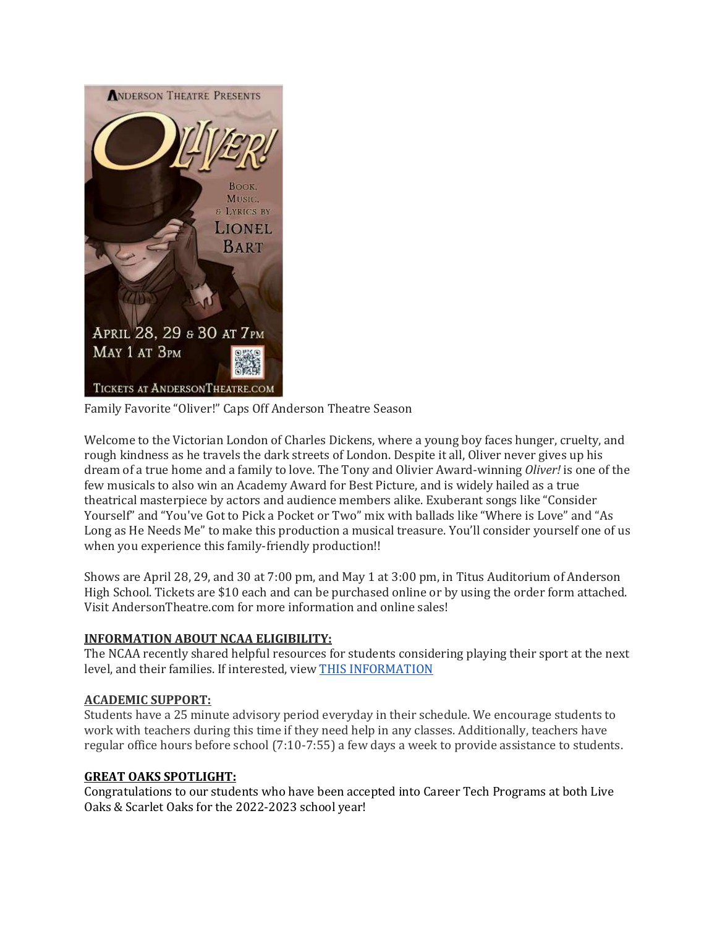

Family Favorite "Oliver!" Caps Off Anderson Theatre Season

Welcome to the Victorian London of Charles Dickens, where a young boy faces hunger, cruelty, and rough kindness as he travels the dark streets of London. Despite it all, Oliver never gives up his dream of a true home and a family to love. The Tony and Olivier Award-winning *Oliver!* is one of the few musicals to also win an Academy Award for Best Picture, and is widely hailed as a true theatrical masterpiece by actors and audience members alike. Exuberant songs like "Consider Yourself" and "You've Got to Pick a Pocket or Two" mix with ballads like "Where is Love" and "As Long as He Needs Me" to make this production a musical treasure. You'll consider yourself one of us when you experience this family-friendly production!!

Shows are April 28, 29, and 30 at 7:00 pm, and May 1 at 3:00 pm, in Titus Auditorium of Anderson High School. Tickets are \$10 each and can be purchased online or by using the order form attached. Visit AndersonTheatre.com for more information and online sales!

# **INFORMATION ABOUT NCAA ELIGIBILITY:**

The NCAA recently shared helpful resources for students considering playing their sport at the next level, and their families. If interested, view [THIS INFORMATION](https://view.mail2.ncaa.com/?qs=101d999b0e2a82d36f1833cc4529b713d4463683ac95a21fa11958de3bd71da04823d86e94d5d8f2dbab2cd387a81b0de1b51071586c761dc5c0d74069cc814a94de2b3a1e5c8f9e5ad93123e88340f0a50a02304b39a5ae)

# **ACADEMIC SUPPORT:**

Students have a 25 minute advisory period everyday in their schedule. We encourage students to work with teachers during this time if they need help in any classes. Additionally, teachers have regular office hours before school (7:10-7:55) a few days a week to provide assistance to students.

# **GREAT OAKS SPOTLIGHT:**

Congratulations to our students who have been accepted into Career Tech Programs at both Live Oaks & Scarlet Oaks for the 2022-2023 school year!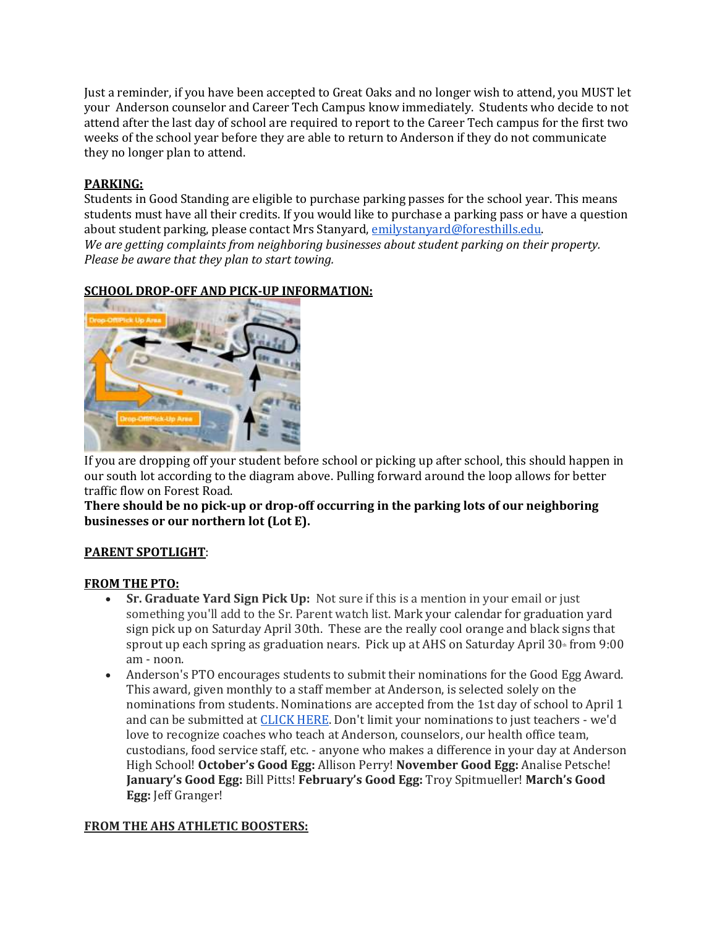Just a reminder, if you have been accepted to Great Oaks and no longer wish to attend, you MUST let your Anderson counselor and Career Tech Campus know immediately. Students who decide to not attend after the last day of school are required to report to the Career Tech campus for the first two weeks of the school year before they are able to return to Anderson if they do not communicate they no longer plan to attend.

# **PARKING:**

Students in Good Standing are eligible to purchase parking passes for the school year. This means students must have all their credits. If you would like to purchase a parking pass or have a question about student parking, please contact Mrs Stanyard[, emilystanyard@foresthills.edu.](mailto:emilystanyard@foresthills.edu) *We are getting complaints from neighboring businesses about student parking on their property. Please be aware that they plan to start towing.*

# **SCHOOL DROP-OFF AND PICK-UP INFORMATION:**



If you are dropping off your student before school or picking up after school, this should happen in our south lot according to the diagram above. Pulling forward around the loop allows for better traffic flow on Forest Road.

**There should be no pick-up or drop-off occurring in the parking lots of our neighboring businesses or our northern lot (Lot E).**

# **PARENT SPOTLIGHT**:

# **FROM THE PTO:**

- **Sr. Graduate Yard Sign Pick Up:** Not sure if this is a mention in your email or just something you'll add to the Sr. Parent watch list. Mark your calendar for graduation yard sign pick up on Saturday April 30th. These are the really cool orange and black signs that sprout up each spring as graduation nears. Pick up at AHS on Saturday April  $30<sup>th</sup>$  from 9:00 am - noon.
- Anderson's PTO encourages students to submit their nominations for the Good Egg Award. This award, given monthly to a staff member at Anderson, is selected solely on the nominations from students. Nominations are accepted from the 1st day of school to April 1 and can be submitted a[t CLICK HERE.](https://docs.google.com/forms/d/1H4dm8QQ-Xx-ntgETJ4skSZMCGvpeyClFmrfPTSRsOvQ/viewform?edit_requested=true) Don't limit your nominations to just teachers - we'd love to recognize coaches who teach at Anderson, counselors, our health office team, custodians, food service staff, etc. - anyone who makes a difference in your day at Anderson High School! **October's Good Egg:** Allison Perry! **November Good Egg:** Analise Petsche! **January's Good Egg:** Bill Pitts! **February's Good Egg:** Troy Spitmueller! **March's Good Egg:** Jeff Granger!

# **FROM THE AHS ATHLETIC BOOSTERS:**